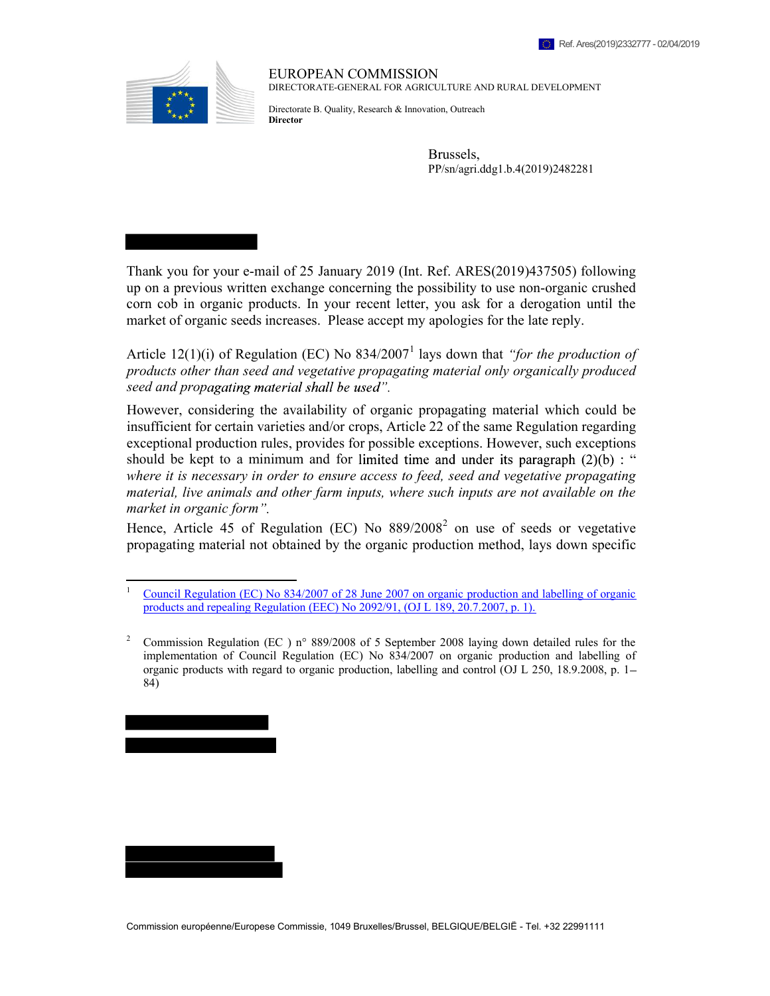

EUROPEAN COMMISSION DIRECTORATE-GENERAL FOR AGRICULTURE AND RURAL DEVELOPMENT

Directorate B. Quality, Research & Innovation, Outreach **Director** 

> Brussels, PP/sn/agri.ddg1.b.4(2019)2482281

Thank you for your e-mail of 25 January 2019 (Int. Ref. ARES(2019)437505) following up on a previous written exchange concerning the possibility to use non-organic crushed corn cob in organic products. In your recent letter, you ask for a derogation until the market of organic seeds increases. Please accept my apologies for the late reply.

Article 12(1)(i) of Regulation (EC) No  $834/2007<sup>1</sup>$  lays down that "for the production of products other than seed and vegetative propagating material only organically produced seed and propagating material shall be used".

However, considering the availability of organic propagating material which could be insufficient for certain varieties and/or crops, Article 22 of the same Regulation regarding exceptional production rules, provides for possible exceptions. However, such exceptions should be kept to a minimum and for limited time and under its paragraph  $(2)(b)$ : " where it is necessary in order to ensure access to feed, seed and vegetative propagating material, live animals and other farm inputs, where such inputs are not available on the market in organic form".

Hence, Article 45 of Regulation (EC) No  $889/2008^2$  on use of seeds or vegetative propagating material not obtained by the organic production method, lays down specific



<sup>&</sup>lt;sup>1</sup> Council Regulation (EC) No 834/2007 of 28 June 2007 on organic production and labelling of organic products and repealing Regulation (EEC) No 2092/91, (OJ L 189, 20.7.2007, p. 1).<br><sup>2</sup> Commission Regulation (EC) n° 889/2008 of 5 Sentember 2008 laving down of

Commission Regulation (EC ) n° 889/2008 of 5 September 2008 laying down detailed rules for the implementation of Council Regulation (EC) No 834/2007 on organic production and labelling of organic products with regard to organic production, labelling and control (OJ L 250, 18.9.2008, p. 1 84)